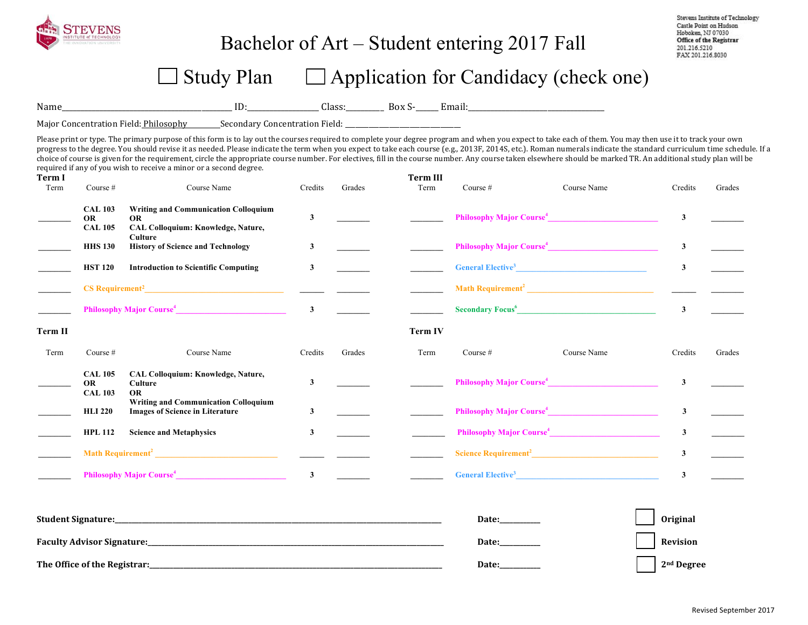

## Bachelor of Art – Student entering 2017 Fall

Stevens Institute of Technology Castle Point on Hudson Hoboken, NJ 07030 Office of the Registrar 201.216.5210 FAX 201.216.8030

## $\Box$  Study Plan  $\Box$  Application for Candidacy (check one)

Name\_\_\_\_\_\_\_\_\_\_\_\_\_\_\_\_\_\_\_\_\_\_\_\_\_\_\_\_\_\_\_\_\_\_\_\_\_\_\_\_\_\_\_\_\_ ID:\_\_\_\_\_\_\_\_\_\_\_\_\_\_\_\_\_\_\_ Class:\_\_\_\_\_\_\_\_\_\_ Box S-\_\_\_\_\_\_ Email:\_\_\_\_\_\_\_\_\_\_\_\_\_\_\_\_\_\_\_\_\_\_\_\_\_\_\_\_\_\_\_\_\_\_\_\_

Major Concentration Field: Philosophy Secondary Concentration Field:

Please print or type. The primary purpose of this form is to lay out the courses required to complete your degree program and when you expect to take each of them. You may then use it to track your own progress to the degree. You should revise it as needed. Please indicate the term when you expect to take each course (e.g., 2013F, 2014S, etc.). Roman numerals indicate the standard curriculum time schedule. If a choice of course is given for the requirement, circle the appropriate course number. For electives, fill in the course number. Any course taken elsewhere should be marked TR. An additional study plan will be required if any of you wish to receive a minor or a second degree.

| Term I<br>Term                                                                                                 | Course $#$                                    | Course Name                                                                                           | Credits      | Grades                     | <b>Term III</b><br>Term | Course $#$                                                                                                                                                                                                                                     | Course Name | Credits         | Grades |
|----------------------------------------------------------------------------------------------------------------|-----------------------------------------------|-------------------------------------------------------------------------------------------------------|--------------|----------------------------|-------------------------|------------------------------------------------------------------------------------------------------------------------------------------------------------------------------------------------------------------------------------------------|-------------|-----------------|--------|
|                                                                                                                | <b>CAL 103</b><br><b>OR</b><br><b>CAL 105</b> | <b>Writing and Communication Colloquium</b><br><b>OR</b><br><b>CAL Colloquium: Knowledge, Nature,</b> | $\mathbf{3}$ |                            |                         | <b>Philosophy Major Course<sup>4</sup></b>                                                                                                                                                                                                     |             | $\mathbf{3}$    |        |
|                                                                                                                | <b>HHS 130</b>                                | Culture<br><b>History of Science and Technology</b>                                                   | 3            |                            |                         | Philosophy Major Course <sup>4</sup>                                                                                                                                                                                                           |             | $\mathbf{3}$    |        |
|                                                                                                                | <b>HST 120</b>                                | <b>Introduction to Scientific Computing</b>                                                           | 3            |                            |                         | <b>General Elective<sup>3</sup></b>                                                                                                                                                                                                            |             | $\mathbf{3}$    |        |
|                                                                                                                | Philosophy Major Course <sup>4</sup>          |                                                                                                       |              |                            |                         |                                                                                                                                                                                                                                                |             |                 |        |
|                                                                                                                |                                               |                                                                                                       |              |                            |                         | Secondary Focus <sup>6</sup> Provides and Secondary Focus <b>Executive Contract Contract Contract Contract Contract Contract Contract Contract Contract Contract Contract Contract Contract Contract Contract Contract Contract Contract C</b> |             | $\mathbf{3}$    |        |
| Term II                                                                                                        |                                               |                                                                                                       |              |                            | <b>Term IV</b>          |                                                                                                                                                                                                                                                |             |                 |        |
| Term                                                                                                           | Course $#$                                    | Course Name                                                                                           | Credits      | Grades                     | Term                    | Course $#$                                                                                                                                                                                                                                     | Course Name | Credits         | Grades |
|                                                                                                                | <b>CAL 105</b><br><b>OR</b><br><b>CAL 103</b> | CAL Colloquium: Knowledge, Nature,<br>Culture<br><b>OR</b>                                            | $\mathbf{3}$ |                            |                         | Philosophy Major Course <sup>4</sup>                                                                                                                                                                                                           |             | $\mathbf{3}$    |        |
|                                                                                                                | <b>HLI 220</b>                                | <b>Writing and Communication Colloquium</b><br><b>Images of Science in Literature</b>                 | $\mathbf{3}$ |                            |                         | Philosophy Major Course <sup>4</sup>                                                                                                                                                                                                           |             | $\mathbf{3}$    |        |
|                                                                                                                | <b>HPL 112</b>                                | <b>Science and Metaphysics</b>                                                                        | $\mathbf{3}$ |                            |                         | <b>Philosophy Major Course</b> <sup>4</sup>                                                                                                                                                                                                    |             | $\mathbf{3}$    |        |
|                                                                                                                |                                               |                                                                                                       |              | <u> Tanzania (m. 1888)</u> |                         |                                                                                                                                                                                                                                                |             | $\mathbf{3}$    |        |
|                                                                                                                |                                               | Philosophy Major Course <sup>4</sup>                                                                  | $\mathbf{3}$ |                            |                         | General Elective <sup>3</sup>                                                                                                                                                                                                                  |             | 3               |        |
|                                                                                                                |                                               |                                                                                                       |              |                            |                         |                                                                                                                                                                                                                                                |             |                 |        |
|                                                                                                                |                                               |                                                                                                       |              |                            |                         | Date:_________                                                                                                                                                                                                                                 |             | <b>Original</b> |        |
| Faculty Advisor Signature: the contract of the contract of the contract of the contract of the contract of the |                                               |                                                                                                       |              |                            |                         | Date:_________                                                                                                                                                                                                                                 |             | Revision        |        |
|                                                                                                                | The Office of the Registrar:                  |                                                                                                       | Date:        |                            | 2 <sup>nd</sup> Degree  |                                                                                                                                                                                                                                                |             |                 |        |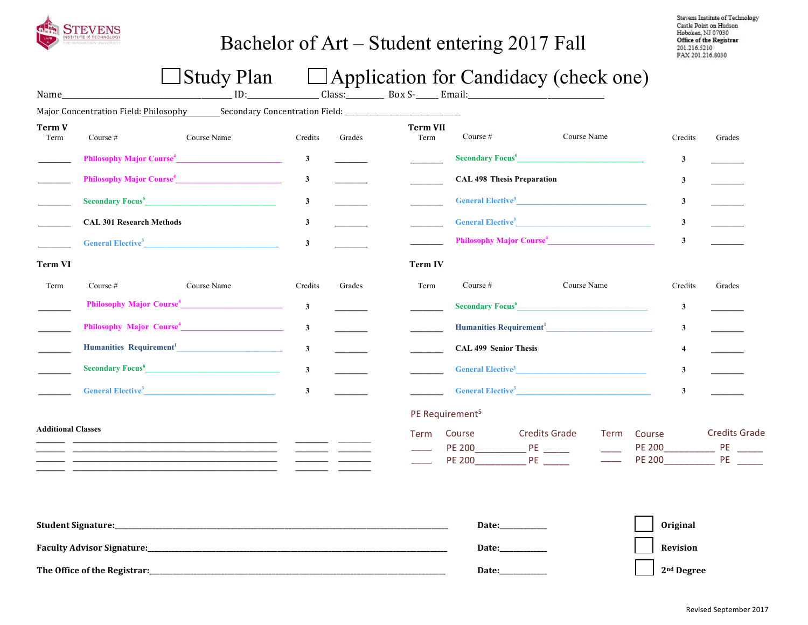

# Bachelor of Art – Student entering 2017 Fall

Stevens Institute of Technology Castle Point on Hudson Hoboken, NJ 07030 Office of the Registrar 201.216.5210 FAX 201.216.8030

# $\Box$  Study Plan  $\Box$  Application for Candidacy (check one)

| Name_                     |                                                                                                                                                                                                                                          | ID:                                        |              |        |                         |                                                         |                              |                                      |                                                                |
|---------------------------|------------------------------------------------------------------------------------------------------------------------------------------------------------------------------------------------------------------------------------------|--------------------------------------------|--------------|--------|-------------------------|---------------------------------------------------------|------------------------------|--------------------------------------|----------------------------------------------------------------|
|                           | Major Concentration Field: Philosophy Secondary Concentration Field: ______________________________                                                                                                                                      |                                            |              |        |                         |                                                         |                              |                                      |                                                                |
| <b>Term V</b><br>Term     | Course #                                                                                                                                                                                                                                 | Course Name                                | Credits      | Grades | <b>Term VII</b><br>Term | Course $#$                                              | Course Name                  | Credits                              | Grades                                                         |
|                           | Philosophy Major Course <sup>4</sup>                                                                                                                                                                                                     |                                            | $\mathbf{3}$ |        |                         | Secondary Focus <sup>6</sup>                            |                              | 3                                    |                                                                |
|                           | Philosophy Major Course <sup>4</sup>                                                                                                                                                                                                     |                                            | $\mathbf{3}$ |        |                         | <b>CAL 498 Thesis Preparation</b>                       |                              | 3                                    |                                                                |
|                           | Secondary Focus <sup>6</sup> Provides and Secondary Provides and Secondary Provides and Secondary Provides and Secondary Provides and Secondary Provides and Secondary Provides and Secondary Provides and Secondary Provides and Second |                                            | $\mathbf{3}$ |        |                         | General Elective <sup>3</sup>                           |                              | $\mathbf{3}$                         |                                                                |
|                           | <b>CAL 301 Research Methods</b>                                                                                                                                                                                                          |                                            | $\mathbf{3}$ |        |                         | General Elective <sup>3</sup>                           |                              | 3                                    |                                                                |
|                           | General Elective <sup>3</sup>                                                                                                                                                                                                            |                                            | $\mathbf{3}$ |        |                         | Philosophy Major Course <sup>4</sup>                    |                              | $\mathbf{3}$                         |                                                                |
| <b>Term VI</b>            |                                                                                                                                                                                                                                          |                                            |              |        | Term IV                 |                                                         |                              |                                      |                                                                |
| Term                      | Course $#$                                                                                                                                                                                                                               | Course Name                                | Credits      | Grades | Term                    | Course $#$                                              | Course Name                  | Credits                              | Grades                                                         |
|                           | Philosophy Major Course <sup>4</sup>                                                                                                                                                                                                     |                                            | $\mathbf{3}$ |        |                         | Secondary Focus <sup>6</sup>                            |                              | $\mathbf{3}$                         |                                                                |
|                           |                                                                                                                                                                                                                                          |                                            | $\mathbf{3}$ |        |                         | Humanities Requirement <sup>1</sup> <b>Example 2018</b> |                              | 3                                    |                                                                |
|                           | Humanities Requirement <sup>1</sup>                                                                                                                                                                                                      |                                            | $\mathbf{3}$ |        |                         | <b>CAL 499 Senior Thesis</b>                            |                              | 4                                    |                                                                |
|                           | <b>Secondary Focus</b> <sup>6</sup>                                                                                                                                                                                                      | and the state of the state of the state of | $\mathbf{3}$ |        |                         | General Elective <sup>3</sup>                           |                              | 3                                    |                                                                |
|                           | General Elective <sup>3</sup>                                                                                                                                                                                                            |                                            | $\mathbf{3}$ |        |                         | <b>General Elective<sup>3</sup></b>                     |                              | $\mathbf{3}$                         |                                                                |
|                           |                                                                                                                                                                                                                                          |                                            |              |        |                         | PE Requirement <sup>5</sup>                             |                              |                                      |                                                                |
| <b>Additional Classes</b> |                                                                                                                                                                                                                                          |                                            |              |        | Term                    | Course<br><b>PE 200</b><br>$P^E$<br>PE 200 PE           | <b>Credits Grade</b><br>Term | Course<br><b>PE 200</b><br>PE 200 PE | <b>Credits Grade</b><br>$\rightharpoonup$ PE $\rightharpoonup$ |
|                           |                                                                                                                                                                                                                                          |                                            |              |        |                         | Date:                                                   |                              | <b>Original</b>                      |                                                                |
|                           |                                                                                                                                                                                                                                          |                                            |              |        | Date:____________       |                                                         | Revision                     |                                      |                                                                |

**The Office of the Registrar:\_\_\_\_\_\_\_\_\_\_\_\_\_\_\_\_\_\_\_\_\_\_\_\_\_\_\_\_\_\_\_\_\_\_\_\_\_\_\_\_\_\_\_\_\_\_\_\_\_\_\_\_\_\_\_\_\_\_\_\_\_\_\_\_\_\_\_\_\_\_\_\_\_\_\_\_\_\_\_\_\_\_\_\_\_\_\_ Date:\_\_\_\_\_\_\_\_\_\_\_\_\_\_ 2nd Degree**